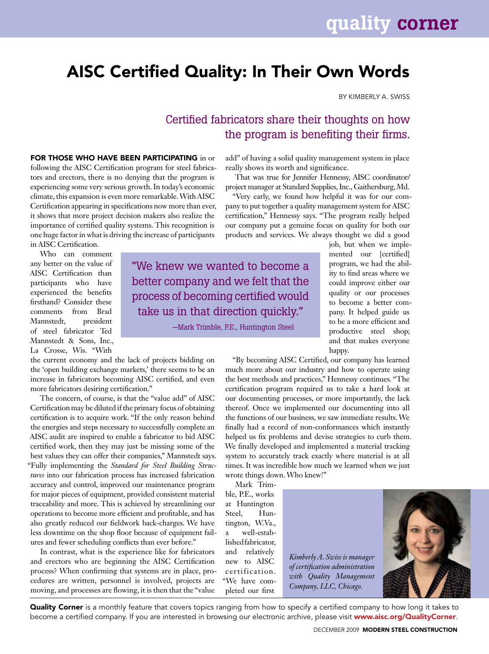## AISC Certified Quality: In Their Own Words

By Kimberly A. Swiss

## Certified fabricators share their thoughts on how the program is benefiting their firms.

FOR THOSE WHO HAVE BEEN PARTICIPATING in or following the AISC Certification program for steel fabricators and erectors, there is no denying that the program is experiencing some very serious growth. In today's economic climate, this expansion is even more remarkable. With AISC Certification appearing in specifications now more than ever, it shows that more project decision makers also realize the importance of certified quality systems. This recognition is one huge factor in what is driving the increase of participants in AISC Certification.

Who can comment any better on the value of AISC Certification than participants who have experienced the benefits firsthand? Consider these comments from Brad Mannstedt, president of steel fabricator Ted Mannstedt & Sons, Inc., La Crosse, Wis. "With

the current economy and the lack of projects bidding on the 'open building exchange markets,' there seems to be an increase in fabricators becoming AISC certified, and even more fabricators desiring certification."

The concern, of course, is that the "value add" of AISC Certification may be diluted if the primary focus of obtaining certification is to acquire work. "If the only reason behind the energies and steps necessary to successfully complete an AISC audit are inspired to enable a fabricator to bid AISC certified work, then they may just be missing some of the best values they can offer their companies," Mannstedt says. "Fully implementing the *Standard for Steel Building Structures* into our fabrication process has increased fabrication accuracy and control, improved our maintenance program for major pieces of equipment, provided consistent material traceability and more. This is achieved by streamlining our operations to become more efficient and profitable, and has also greatly reduced our fieldwork back-charges. We have less downtime on the shop floor because of equipment failures and fewer scheduling conflicts than ever before."

In contrast, what is the experience like for fabricators and erectors who are beginning the AISC Certification process? When confirming that systems are in place, procedures are written, personnel is involved, projects are moving, and processes are flowing, it is then that the "value

add" of having a solid quality management system in place really shows its worth and significance.

That was true for Jennifer Hennessy, AISC coordinator/ project manager at Standard Supplies, Inc., Gaithersburg, Md.

"Very early, we found how helpful it was for our company to put together a quality management system for AISC certification," Hennessy says. "The program really helped our company put a genuine focus on quality for both our products and services. We always thought we did a good

"We knew we wanted to become a better company and we felt that the process of becoming certified would take us in that direction quickly."

—Mark Trimble, P.E., Huntington Steel

job, but when we implemented our [certified] program, we had the ability to find areas where we could improve either our quality or our processes to become a better company. It helped guide us to be a more efficient and productive steel shop; and that makes everyone happy.

"By becoming AISC Certified, our company has learned much more about our industry and how to operate using the best methods and practices," Hennessy continues. "The certification program required us to take a hard look at our documenting processes, or more importantly, the lack thereof. Once we implemented our documenting into all the functions of our business, we saw immediate results. We finally had a record of non-conformances which instantly helped us fix problems and devise strategies to curb them. We finally developed and implemented a material tracking system to accurately track exactly where material is at all times. It was incredible how much we learned when we just wrote things down. Who knew!"

Mark Trimble, P.E., works at Huntington Steel, Huntington, W.Va., a well-established fabricator, and relatively new to AISC certification. "We have completed our first



*Kimberly A. Swiss is manager of certification administration with Quality Management Company, LLC, Chicago.*

Quality Corner is a monthly feature that covers topics ranging from how to specify a certified company to how long it takes to become a certified company. If you are interested in browsing our electronic archive, please visit www.aisc.org/QualityCorner.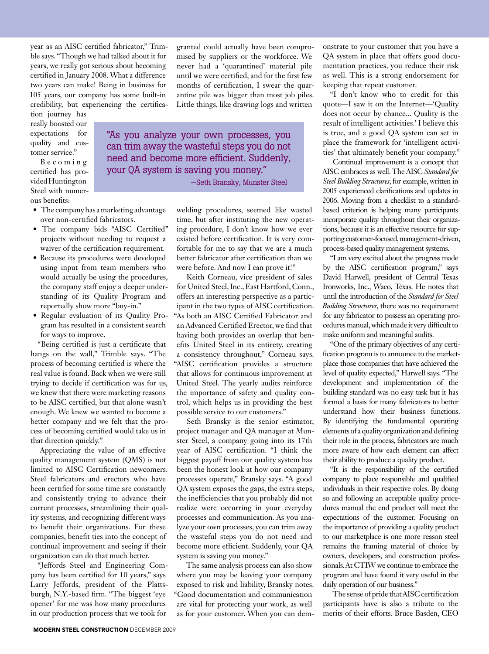year as an AISC certified fabricator," Trimble says. "Though we had talked about it for years, we really got serious about becoming certified in January 2008. What a difference two years can make! Being in business for 105 years, our company has some built-in credibility, but experiencing the certifica-

tion journey has really boosted our expectations for quality and customer service."

B e c o m i n g certified has provided Huntington Steel with numerous benefits:

- **•** The company has a marketing advantage over non-certified fabricators.
- The company bids "AISC Certified" projects without needing to request a waiver of the certification requirement.
- Because its procedures were developed using input from team members who would actually be using the procedures, the company staff enjoy a deeper understanding of its Quality Program and reportedly show more "buy-in."
- Regular evaluation of its Quality Program has resulted in a consistent search for ways to improve.

"Being certified is just a certificate that hangs on the wall," Trimble says. "The process of becoming certified is where the real value is found. Back when we were still trying to decide if certification was for us, we knew that there were marketing reasons to be AISC certified, but that alone wasn't enough. We knew we wanted to become a better company and we felt that the process of becoming certified would take us in that direction quickly."

Appreciating the value of an effective quality management system (QMS) is not limited to AISC Certification newcomers. Steel fabricators and erectors who have been certified for some time are constantly and consistently trying to advance their current processes, streamlining their quality systems, and recognizing different ways to benefit their organizations. For these companies, benefit ties into the concept of continual improvement and seeing if their organization can do that much better.

"Jeffords Steel and Engineering Company has been certified for 10 years," says Larry Jeffords, president of the Plattsburgh, N.Y.-based firm. "The biggest 'eye opener' for me was how many procedures in our production process that we took for

granted could actually have been compromised by suppliers or the workforce. We never had a 'quarantined' material pile until we were certified, and for the first few months of certification. I swear the quarantine pile was bigger than most job piles. Little things, like drawing logs and written

"As you analyze your own processes, you can trim away the wasteful steps you do not need and become more efficient. Suddenly, your QA system is saving you money."

—Seth Bransky, Munster Steel

welding procedures, seemed like wasted time, but after instituting the new operating procedure, I don't know how we ever existed before certification. It is very comfortable for me to say that we are a much better fabricator after certification than we were before. And now I can prove it!"

Keith Corneau, vice president of sales for United Steel, Inc., East Hartford, Conn., offers an interesting perspective as a participant in the two types of AISC certification. "As both an AISC Certified Fabricator and an Advanced Certified Erector, we find that having both provides an overlap that benefits United Steel in its entirety, creating a consistency throughout," Corneau says. "AISC certification provides a structure that allows for continuous improvement at United Steel. The yearly audits reinforce the importance of safety and quality control, which helps us in providing the best possible service to our customers."

Seth Bransky is the senior estimator, project manager and QA manager at Munster Steel, a company going into its 17th year of AISC certification. "I think the biggest payoff from our quality system has been the honest look at how our company processes operate," Bransky says. "A good QA system exposes the gaps, the extra steps, the inefficiencies that you probably did not realize were occurring in your everyday processes and communication. As you analyze your own processes, you can trim away the wasteful steps you do not need and become more efficient. Suddenly, your QA system is saving you money."

The same analysis process can also show where you may be leaving your company exposed to risk and liability, Bransky notes. "Good documentation and communication are vital for protecting your work, as well as for your customer. When you can demonstrate to your customer that you have a QA system in place that offers good documentation practices, you reduce their risk as well. This is a strong endorsement for keeping that repeat customer.

"I don't know who to credit for this quote—I saw it on the Internet—'Quality does not occur by chance... Quality is the result of intelligent activities.' I believe this is true, and a good QA system can set in place the framework for 'intelligent activities' that ultimately benefit your company."

Continual improvement is a concept that AISC embraces as well. The AISC *Standard for Steel Building Structures*, for example, written in 2005 experienced clarifications and updates in 2006. Moving from a checklist to a standardbased criterion is helping many participants incorporate quality throughout their organizations, because it is an effective resource for supporting customer-focused, management-driven, process-based quality management systems.

"I am very excited about the progress made by the AISC certification program," says David Harwell, president of Central Texas Ironworks, Inc., Waco, Texas. He notes that until the introduction of the *Standard for Steel Building Structures*, there was no requirement for any fabricator to possess an operating procedures manual, which made it very difficult to make uniform and meaningful audits.

"One of the primary objectives of any certification program is to announce to the marketplace those companies that have achieved the level of quality expected," Harwell says. "The development and implementation of the building standard was no easy task but it has formed a basis for many fabricators to better understand how their business functions. By identifying the fundamental operating elements of a quality organization and defining their role in the process, fabricators are much more aware of how each element can affect their ability to produce a quality product.

"It is the responsibility of the certified company to place responsible and qualified individuals in their respective roles. By doing so and following an acceptable quality procedures manual the end product will meet the expectations of the customer. Focusing on the importance of providing a quality product to our marketplace is one more reason steel remains the framing material of choice by owners, developers, and construction professionals. At CTIW we continue to embrace the program and have found it very useful in the daily operation of our business."

The sense of pride that AISC certification participants have is also a tribute to the merits of their efforts. Bruce Basden, CEO